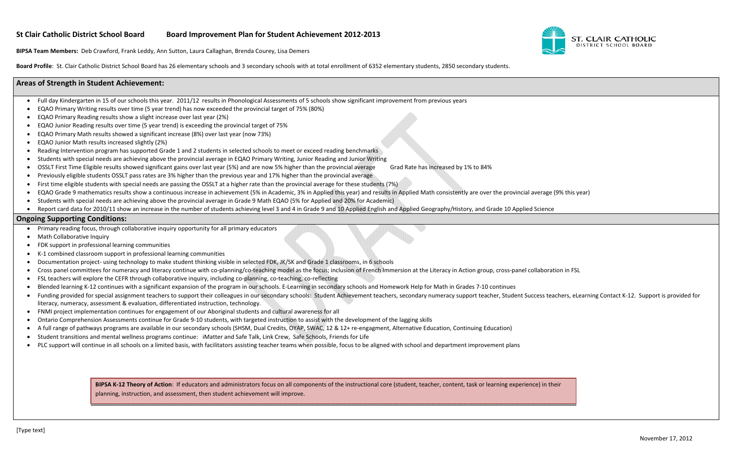

November 17, 2012

#### **St Clair Catholic District School BoardBoard Improvement Plan for Student Achievement 2012‐2013**

**BIPSA Team Members:** Deb Crawford, Frank Leddy, Ann Sutton, Laura Callaghan, Brenda Courey, Lisa Demers

- Full day Kindergarten in 15 of our schools this year. 2011/12 results in Phonological Assessments of 5 schools show significant improvement from previous years
- EQAO Primary Writing results over time (5 year trend) has now exceeded the provincial target of 75% (80%)
- 0 EQAO Primary Reading results show <sup>a</sup> slight increase over last year (2%)
- 0 EQAO Junior Reading results over time (5 year trend) is exceeding the provincial target of 75%
- 0 EQAO Primary Math results showed <sup>a</sup> significant increase (8%) over last year (now 73%)
- 0 EQAO Junior Math results increased slightly (2%)
- 0 Reading Intervention program has supported Grade 1 and 2 students in selected schools to meet or exceed reading benchmarks
- 0 Students with special needs are achieving above the provincial average in EQAO Primary Writing, Junior Reading and Junior Writing
- 0 OSSLT First Time Eligible results showed significant gains over last year (5%) and are now 5% higher than the provincial average Grad Rate has increased by 1% to 84%
- 0 Previously eligible students OSSLT pass rates are 3% higher than the previous year and 17% higher than the provincial average
- 0 First time eligible students with special needs are passing the OSSLT at <sup>a</sup> higher rate than the provincial average for these students (7%)
- 0 EQAO Grade 9 mathematics results show <sup>a</sup> continuous increase in achievement (5% in Academic, 3% in Applied this year) and results in Applied Math consistently are over the provincial average (9% this year)
- 0 Students with special needs are achieving above the provincial average in Grade 9 Math EQAO (5% for Applied and 20% for Academic)
- Report card data for 2010/11 show an increase in the number of students achieving level 3 and 4 in Grade 9 and 10 Applied English and Applied Geography/History, and Grade 10 Applied Science

**Board Profile**: St. Clair Catholic District School Board has 26 elementary schools and 3 secondary schools with at total enrollment of 6352 elementary students, 2850 secondary students.

# **Areas of Strength in Student Achievement:**

BIPSA K-12 Theory of Action: If educators and administrators focus on all components of the instructional core (student, teacher, content, task or learning experience) in their planning, instruction, and assessment, then student achievement will improve.

## **Ongoing Supporting Conditions:**

- Primary reading focus, through collaborative inquiry opportunity for all primary educators
- Math Collaborative Inquiry
- 0 FDK support in professional learning communities
- 0 ● K-1 combined classroom support in professional learning communities
- 0 ● Documentation project- using technology to make student thinking visible in selected FDK, JK/SK and Grade 1 classrooms, in 6 schools
- 0 Cross panel committees for numeracy and literacy continue with co-planning/co-teaching model as the focus; inclusion of French Immersion at the Literacy in Action group, cross-panel collaboration in FSL
- 0 FSL teachers will explore the CEFR through collaborative inquiry, including co-planning, co-teaching, co-reflecting
- 0 ● Blended learning K‐12 continues with a significant expansion of the program in our schools. E‐Learning in secondary schools and Homework Help for Math in Grades 7‐10 continues
- 0 Funding provided for special assignment teachers to support their colleagues in our secondary schools: Student Achievement teachers, secondary numeracy support teacher, Student Success teachers, eLearning Contact K-12. Sup literacy, numeracy, assessment & evaluation, differentiated instruction, technology.
- FNMI project implementation continues for engagement of our Aboriginal students and cultural awareness for all
- 0 ● Ontario Comprehension Assessments continue for Grade 9-10 students, with targeted instruction to assist with the development of the lagging skills
- 0 ● A full range of pathways programs are available in our secondary schools (SHSM, Dual Credits, OYAP, SWAC, 12 & 12+ re-engagment, Alternative Education, Continuing Education)
- 0 Student transitions and mental wellness programs continue: iMatter and Safe Talk, Link Crew, Safe Schools, Friends for Life
- 0 PLC support will continue in all schools on <sup>a</sup> limited basis, with facilitators assisting teacher teams when possible, focus to be aligned with school and department improvement plans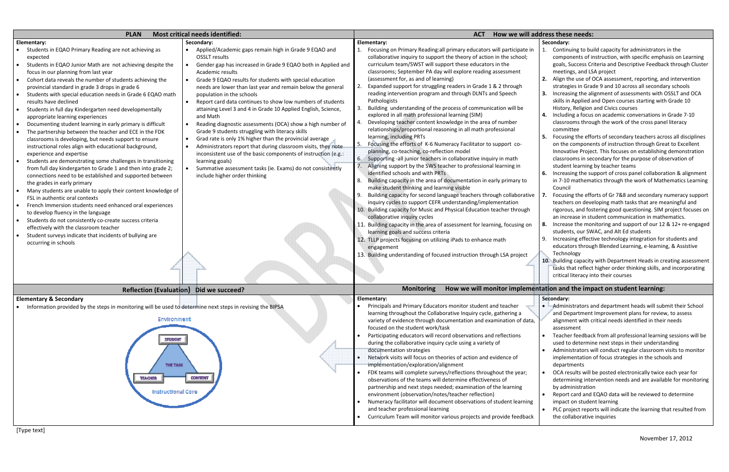### **we will address these needs:**

| <b>Most critical needs identified:</b><br><b>PLAN</b>                                                                                                                                                                                                                                                                                                                                                                                                                                                                                                                                                                                                                                                                                                                                                                                                                                                                                                                                       |                                                                                                                                                                                                                                                                                                                                                                                                                                                                                                                                                                                                                                                                                                                                                                                                                                                                                                                       | How we will ad<br><b>ACT</b>                                                                                                                                                                                                                                                                                                                                                                                                                                                                                                                                                                                                                                                                                                                                                                                                                                                                                                                                                                                                                                                                                                                                      |
|---------------------------------------------------------------------------------------------------------------------------------------------------------------------------------------------------------------------------------------------------------------------------------------------------------------------------------------------------------------------------------------------------------------------------------------------------------------------------------------------------------------------------------------------------------------------------------------------------------------------------------------------------------------------------------------------------------------------------------------------------------------------------------------------------------------------------------------------------------------------------------------------------------------------------------------------------------------------------------------------|-----------------------------------------------------------------------------------------------------------------------------------------------------------------------------------------------------------------------------------------------------------------------------------------------------------------------------------------------------------------------------------------------------------------------------------------------------------------------------------------------------------------------------------------------------------------------------------------------------------------------------------------------------------------------------------------------------------------------------------------------------------------------------------------------------------------------------------------------------------------------------------------------------------------------|-------------------------------------------------------------------------------------------------------------------------------------------------------------------------------------------------------------------------------------------------------------------------------------------------------------------------------------------------------------------------------------------------------------------------------------------------------------------------------------------------------------------------------------------------------------------------------------------------------------------------------------------------------------------------------------------------------------------------------------------------------------------------------------------------------------------------------------------------------------------------------------------------------------------------------------------------------------------------------------------------------------------------------------------------------------------------------------------------------------------------------------------------------------------|
| Elementary:<br>Students in EQAO Primary Reading are not achieving as<br>expected<br>Students in EQAO Junior Math are not achieving despite the<br>focus in our planning from last year<br>Cohort data reveals the number of students achieving the<br>provincial standard in grade 3 drops in grade 6<br>Students with special education needs in Grade 6 EQAO math<br>results have declined<br>Students in full day Kindergarten need developmentally<br>appropriate learning experiences<br>Documenting student learning in early primary is difficult<br>The partnership between the teacher and ECE in the FDK<br>classrooms is developing, but needs support to ensure<br>instructional roles align with educational background,<br>experience and expertise<br>Students are demonstrating some challenges in transitioning<br>from full day kindergarten to Grade 1 and then into grade 2;<br>connections need to be established and supported between<br>the grades in early primary | Secondary:<br>Applied/Academic gaps remain high in Grade 9 EQAO and<br><b>OSSLT</b> results<br>Gender gap has increased in Grade 9 EQAO both in Applied and<br>Academic results<br>Grade 9 EQAO results for students with special education<br>needs are lower than last year and remain below the general<br>population in the schools<br>Report card data continues to show low numbers of students<br>attaining Level 3 and 4 in Grade 10 Applied English, Science,<br>and Math<br>Reading diagnostic assessments (OCA) show a high number of<br>Grade 9 students struggling with literacy skills<br>Grad rate is only 1% higher than the provincial average<br>Administrators report that during classroom visits, they note.<br>inconsistent use of the basic components of instruction (e.g.:<br>learning goals)<br>Summative assessment tasks (ie. Exams) do not consistently<br>include higher order thinking | Elementary:<br>Focusing on Primary Reading: all primary educators will participate in<br>1.<br>collaborative inquiry to support the theory of action in the school;<br>curriculum team/SWST will support these educators in the<br>classrooms; September PA day will explore reading assessment<br>(assessment for, as and of learning)<br>Expanded support for struggling readers in Grade 1 & 2 through<br>2.<br>reading intervention program and through DLNTs and Speech<br>Pathologists<br>Building understanding of the process of communication will be<br>3.<br>explored in all math professional learning (SIM)<br>Developing teacher content knowledge in the area of number<br>4.<br>relationships/proportional reasoning in all math professional<br>learning, including PRTs<br>5.<br>Focusing the efforts of K-6 Numeracy Facilitator to support co-<br>planning, co-teaching, co-reflection model<br>Supporting -all junior teachers in collaborative inquiry in math<br>Aligning support by the SWS teacher to professional learning in<br>identified schools and with PRTs<br>Building capacity in the area of documentation in early primary to |
| Many students are unable to apply their content knowledge of<br>FSL in authentic oral contexts<br>French Immersion students need enhanced oral experiences<br>to develop fluency in the language<br>Students do not consistently co-create success criteria<br>effectively with the classroom teacher<br>Student surveys indicate that incidents of bullying are<br>occurring in schools                                                                                                                                                                                                                                                                                                                                                                                                                                                                                                                                                                                                    |                                                                                                                                                                                                                                                                                                                                                                                                                                                                                                                                                                                                                                                                                                                                                                                                                                                                                                                       | make student thinking and learning visible<br>Building capacity for second language teachers through collaborative<br>inquiry cycles to support CEFR understanding/implementation<br>10. Building capacity for Music and Physical Education teacher through<br>collaborative inquiry cycles<br>11. Building capacity in the area of assessment for learning, focusing on<br>learning goals and success criteria<br>12. TLLP projects focusing on utilizing iPads to enhance math<br>engagement<br>13. Building understanding of focused instruction through LSA project                                                                                                                                                                                                                                                                                                                                                                                                                                                                                                                                                                                           |
| Reflection (Evaluation) Did we succeed?                                                                                                                                                                                                                                                                                                                                                                                                                                                                                                                                                                                                                                                                                                                                                                                                                                                                                                                                                     |                                                                                                                                                                                                                                                                                                                                                                                                                                                                                                                                                                                                                                                                                                                                                                                                                                                                                                                       | How we will monitor implemen<br><b>Monitoring</b>                                                                                                                                                                                                                                                                                                                                                                                                                                                                                                                                                                                                                                                                                                                                                                                                                                                                                                                                                                                                                                                                                                                 |
| <b>Elementary &amp; Secondary</b><br>Information provided by the steps in monitoring will be used to determine next steps in revising the BIPSA<br>Environment<br><b>STUDENT</b><br><b>THE TASK</b><br><b>CONTENT</b><br><b>TEACHER</b><br><b>Instructional Core</b>                                                                                                                                                                                                                                                                                                                                                                                                                                                                                                                                                                                                                                                                                                                        |                                                                                                                                                                                                                                                                                                                                                                                                                                                                                                                                                                                                                                                                                                                                                                                                                                                                                                                       | Elementary:<br>Principals and Primary Educators monitor student and teacher<br>learning throughout the Collaborative Inquiry cycle, gathering a<br>variety of evidence through documentation and examination of data,<br>focused on the student work/task<br>Participating educators will record observations and reflections<br>during the collaborative inquiry cycle using a variety of<br>documentation strategies<br>Network visits will focus on theories of action and evidence of<br>implementation/exploration/alignment<br>FDK teams will complete surveys/reflections throughout the year;<br>observations of the teams will determine effectiveness of<br>partnership and next steps needed; examination of the learning<br>environment (observation/notes/teacher reflection)<br>Numeracy facilitator will document observations of student learning<br>and teacher professional learning<br>Curriculum Team will monitor various projects and provide feedback                                                                                                                                                                                      |

#### **Secondary:**

- 1. Continuing to build capacity for administrators in the components of instruction, with specific emphasis on Learning goals, Success Criteria and Descriptive Feedback through Cluster meetings, and LSA project
- **2.** Align the use of OCA assessment, reporting, and intervention strategies in Grade 9 and 10 across all secondary schools
- **3.** Increasing the alignment of assessments with OSSLT and OCA skills in Applied and Open courses starting with Grade 10 History, Religion and Civics courses
- **4.** Including <sup>a</sup> focus on academic conversations in Grade 7‐10 classrooms through the work of the cross panel literacy committee
- **5.** Focusing the efforts of secondary teachers across all disciplines on the components of instruction through Great to Excellent Innovative Project. This focuses on establishing demonstration classrooms in secondary for the purpose of observation of student learning by teacher teams
- **6.** Increasing the support of cross panel collaboration & alignment in 7‐10 mathematics through the work of Mathematics Learning Council
- **7.** Focusing the efforts of Gr 7&8 and secondary numeracy support teachers on developing math tasks that are meaningful and rigorous, and fostering good questioning. SIM project focuses on an increase in student communication in mathematics.
- **8.** Increase the monitoring and support of our 12 & 12+ re‐engaged students, our SWAC, and Alt Ed students
- 9. Increasing effective technology integration for students and educators through Blended Learning, <sup>e</sup>‐learning, & Assistive Technology
- **10.** Building capacity with Department Heads in creating assessment tasks that reflect higher order thinking skills, and incorporating critical literacy into their courses

## **(Evaluation) Did we succeed? Monitoring How we will monitor implementation and the impact on student learning:**

#### **Secondary:**

- Administrators and department heads will submit their School and Department Improvement plans for review, to assess alignment with critical needs identified in their needs assessment
- Teacher feedback from all professional learning sessions will be used to determine next steps in their understanding
- Administrators will conduct regular classroom visits to monitor implementation of focus strategies in the schools and departments
- . OCA results will be posted electronically twice each year for determining intervention needs and are available for monitoring by administration
- . Report card and EQAO data will be reviewed to determine impact on student learning
- . PLC project reports will indicate the learning that resulted from the collaborative inquiries